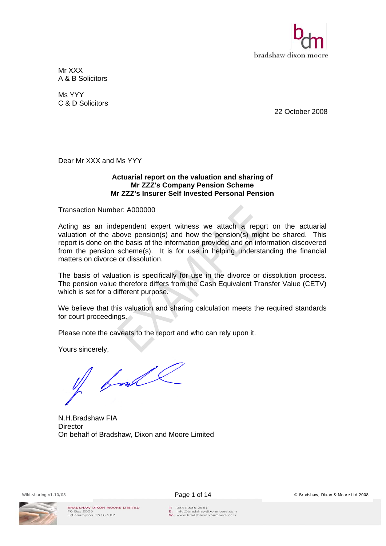

Mr XXX A & B Solicitors

Ms YYY C & D Solicitors

22 October 2008

Dear Mr XXX and Ms YYY

### **Actuarial report on the valuation and sharing of Mr ZZZ's Company Pension Scheme Mr ZZZ's Insurer Self Invested Personal Pension**

Transaction Number: A000000

Acting as an independent expert witness we attach a report on the actuarial valuation of the above pension(s) and how the pension(s) might be shared. This report is done on the basis of the information provided and on information discovered from the pension scheme(s). It is for use in helping understanding the financial matters on divorce or dissolution.

The basis of valuation is specifically for use in the divorce or dissolution process. The pension value therefore differs from the Cash Equivalent Transfer Value (CETV) which is set for a different purpose.

We believe that this valuation and sharing calculation meets the required standards for court proceedings.

Please note the caveats to the report and who can rely upon it.

Yours sincerely,

of ball

N.H.Bradshaw FIA **Director** On behalf of Bradshaw, Dixon and Moore Limited

BRADSHAW DIXON MOORE LIMITED PO Box 2000<br>Littlehampton BN16 9BP



T: 0845 838 2551<br>E: info@bradshawdixonmoore.com<br>W: www.bradshawdixonmoore.com

Wiki-sharing.v1.10/08 **Page 1 of 14 Page 1 of 14** © Bradshaw, Dixon & Moore Ltd 2008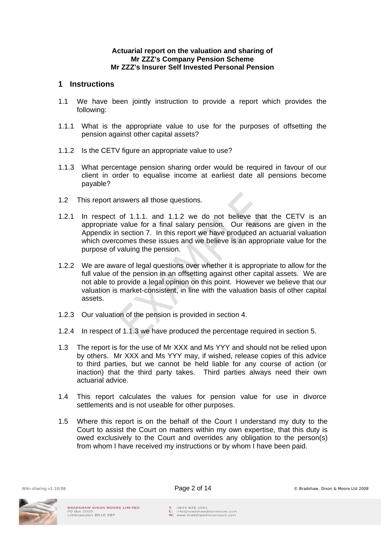### **Actuarial report on the valuation and sharing of Mr ZZZ's Company Pension Scheme Mr ZZZ's Insurer Self Invested Personal Pension**

## **1 Instructions**

- 1.1 We have been jointly instruction to provide a report which provides the following:
- 1.1.1 What is the appropriate value to use for the purposes of offsetting the pension against other capital assets?
- 1.1.2 Is the CETV figure an appropriate value to use?
- 1.1.3 What percentage pension sharing order would be required in favour of our client in order to equalise income at earliest date all pensions become payable?
- 1.2 This report answers all those questions.
- 1.2.1 In respect of 1.1.1. and 1.1.2 we do not believe that the CETV is an appropriate value for a final salary pension. Our reasons are given in the Appendix in section 7. In this report we have produced an actuarial valuation which overcomes these issues and we believe is an appropriate value for the purpose of valuing the pension.
- 1.2.2 We are aware of legal questions over whether it is appropriate to allow for the full value of the pension in an offsetting against other capital assets. We are not able to provide a legal opinion on this point. However we believe that our valuation is market-consistent, in line with the valuation basis of other capital assets.
- 1.2.3 Our valuation of the pension is provided in section 4.
- 1.2.4 In respect of 1.1.3 we have produced the percentage required in section 5.
- 1.3 The report is for the use of Mr XXX and Ms YYY and should not be relied upon by others. Mr XXX and Ms YYY may, if wished, release copies of this advice to third parties, but we cannot be held liable for any course of action (or inaction) that the third party takes. Third parties always need their own actuarial advice.
- 1.4 This report calculates the values for pension value for use in divorce settlements and is not useable for other purposes.
- 1.5 Where this report is on the behalf of the Court I understand my duty to the Court to assist the Court on matters within my own expertise, that this duty is owed exclusively to the Court and overrides any obligation to the person(s) from whom I have received my instructions or by whom I have been paid.

Wiki-sharing.v1.10/08 **Page 2 of 14 Page 2 of 14** © Bradshaw, Dixon & Moore Ltd 2008

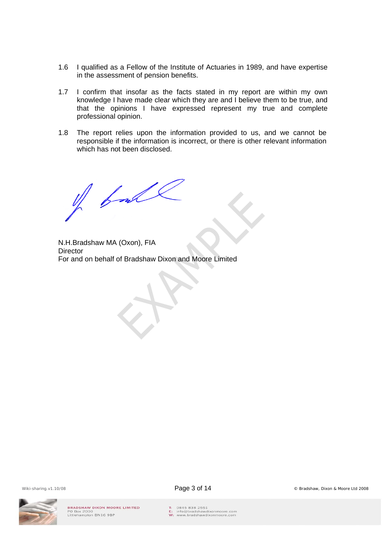- 1.6 I qualified as a Fellow of the Institute of Actuaries in 1989, and have expertise in the assessment of pension benefits.
- 1.7 I confirm that insofar as the facts stated in my report are within my own knowledge I have made clear which they are and I believe them to be true, and that the opinions I have expressed represent my true and complete professional opinion.
- 1.8 The report relies upon the information provided to us, and we cannot be responsible if the information is incorrect, or there is other relevant information which has not been disclosed.

of ball

N.H.Bradshaw MA (Oxon), FIA **Director** For and on behalf of Bradshaw Dixon and Moore Limited





T: 0845 838 2551<br>E: info@bradshawdixonmoore.com<br>W: www.bradshawdixonmoore.com

Wiki-sharing.v1.10/08 **Page 3 of 14 Page 3 of 14** © Bradshaw, Dixon & Moore Ltd 2008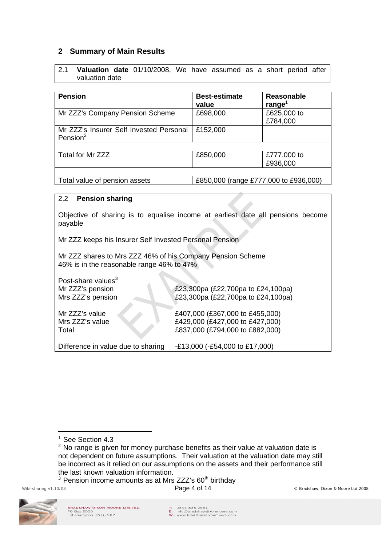# **2 Summary of Main Results**

| 2.1 |                | <b>Valuation date</b> 01/10/2008, We have assumed as a short period after |  |  |  |  |
|-----|----------------|---------------------------------------------------------------------------|--|--|--|--|
|     | valuation date |                                                                           |  |  |  |  |

| <b>Pension</b>                                         | <b>Best-estimate</b><br>value         | Reasonable<br>range <sup>1</sup> |  |
|--------------------------------------------------------|---------------------------------------|----------------------------------|--|
| Mr ZZZ's Company Pension Scheme                        | £698,000                              | £625,000 to<br>£784,000          |  |
| Mr ZZZ's Insurer Self Invested Personal<br>Pension $2$ | £152,000                              |                                  |  |
|                                                        |                                       |                                  |  |
| Total for Mr ZZZ                                       | £850,000                              | £777,000 to<br>£936,000          |  |
|                                                        |                                       |                                  |  |
| Total value of pension assets                          | £850,000 (range £777,000 to £936,000) |                                  |  |

### 2.2 **Pension sharing**

Objective of sharing is to equalise income at earliest date all pensions become payable

Mr ZZZ keeps his Insurer Self Invested Personal Pension

Mr ZZZ shares to Mrs ZZZ 46% of his Company Pension Scheme 46% is in the reasonable range 46% to 47%

| Post-share values <sup>3</sup><br>Mr ZZZ's pension<br>Mrs ZZZ's pension | £23,300pa (£22,700pa to £24,100pa)<br>£23,300pa (£22,700pa to £24,100pa)                              |
|-------------------------------------------------------------------------|-------------------------------------------------------------------------------------------------------|
| Mr ZZZ's value<br>Mrs ZZZ's value<br>Total                              | £407,000 (£367,000 to £455,000)<br>£429,000 (£427,000 to £427,000)<br>£837,000 (£794,000 to £882,000) |
| Difference in value due to sharing                                      | -£13,000 (-£54,000 to £17,000)                                                                        |

 $3$  Pension income amounts as at Mrs ZZZ's  $60<sup>th</sup>$  birthday

 $\overline{a}$ 



<sup>&</sup>lt;sup>1</sup> See Section 4.3

<sup>&</sup>lt;sup>2</sup> No range is given for money purchase benefits as their value at valuation date is not dependent on future assumptions. Their valuation at the valuation date may still be incorrect as it relied on our assumptions on the assets and their performance still the last known valuation information.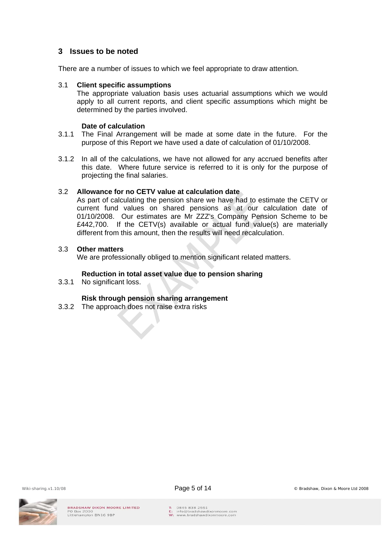## **3 Issues to be noted**

There are a number of issues to which we feel appropriate to draw attention.

### 3.1 **Client specific assumptions**

The appropriate valuation basis uses actuarial assumptions which we would apply to all current reports, and client specific assumptions which might be determined by the parties involved.

#### **Date of calculation**

- 3.1.1 The Final Arrangement will be made at some date in the future. For the purpose of this Report we have used a date of calculation of 01/10/2008.
- 3.1.2 In all of the calculations, we have not allowed for any accrued benefits after this date. Where future service is referred to it is only for the purpose of projecting the final salaries.

### 3.2 **Allowance for no CETV value at calculation date**

As part of calculating the pension share we have had to estimate the CETV or current fund values on shared pensions as at our calculation date of 01/10/2008. Our estimates are Mr ZZZ's Company Pension Scheme to be £442,700. If the CETV(s) available or actual fund value(s) are materially different from this amount, then the results will need recalculation.

### 3.3 **Other matters**

We are professionally obliged to mention significant related matters.

### **Reduction in total asset value due to pension sharing**

3.3.1 No significant loss.

### **Risk through pension sharing arrangement**

3.3.2 The approach does not raise extra risks





T: 0845 838 2551 E: 0645 636 2551<br>E: info@bradshawdixonmoore.com<br>W: www.bradshawdixonmoore.com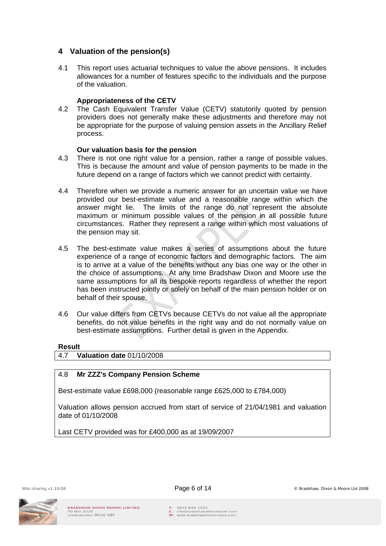# **4 Valuation of the pension(s)**

4.1 This report uses actuarial techniques to value the above pensions. It includes allowances for a number of features specific to the individuals and the purpose of the valuation.

## **Appropriateness of the CETV**

4.2 The Cash Equivalent Transfer Value (CETV) statutorily quoted by pension providers does not generally make these adjustments and therefore may not be appropriate for the purpose of valuing pension assets in the Ancillary Relief process.

## **Our valuation basis for the pension**

- 4.3 There is not one right value for a pension, rather a range of possible values. This is because the amount and value of pension payments to be made in the future depend on a range of factors which we cannot predict with certainty.
- 4.4 Therefore when we provide a numeric answer for an uncertain value we have provided our best-estimate value and a reasonable range within which the answer might lie. The limits of the range do not represent the absolute maximum or minimum possible values of the pension in all possible future circumstances. Rather they represent a range within which most valuations of the pension may sit.
- 4.5 The best-estimate value makes a series of assumptions about the future experience of a range of economic factors and demographic factors. The aim is to arrive at a value of the benefits without any bias one way or the other in the choice of assumptions. At any time Bradshaw Dixon and Moore use the same assumptions for all its bespoke reports regardless of whether the report has been instructed jointly or solely on behalf of the main pension holder or on behalf of their spouse.
- 4.6 Our value differs from CETVs because CETVs do not value all the appropriate benefits, do not value benefits in the right way and do not normally value on best-estimate assumptions. Further detail is given in the Appendix.

### **Result**

4.7 **Valuation date** 01/10/2008

### 4.8 **Mr ZZZ's Company Pension Scheme**

Best-estimate value £698,000 (reasonable range £625,000 to £784,000)

Valuation allows pension accrued from start of service of 21/04/1981 and valuation date of 01/10/2008

Last CETV provided was for £400,000 as at 19/09/2007

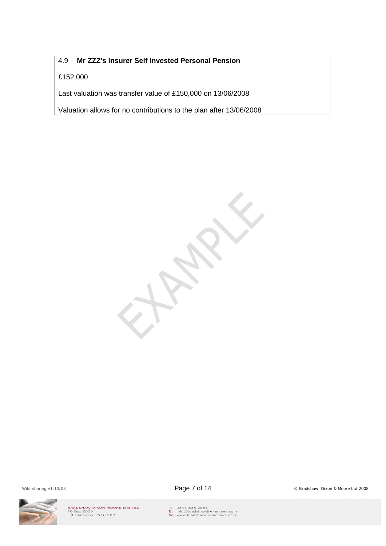# 4.9 **Mr ZZZ's Insurer Self Invested Personal Pension**

## £152,000

Last valuation was transfer value of £150,000 on 13/06/2008

Valuation allows for no contributions to the plan after 13/06/2008



Wiki-sharing.v1.10/08 **Page 7 of 14** Constants Constants Constants Constants Constants Constants Constants Constants Constants Constants Constants Constants Constants Constants Constants Constants Constants Constants Const



BRADSHAW DIXON MOORE LIMITED<br>PO Box 2000<br>Littlehampton BN16 9BP

T: 0845 838 2551<br>E: info@bradshawdixonmoore.com<br>W: www.bradshawdixonmoore.com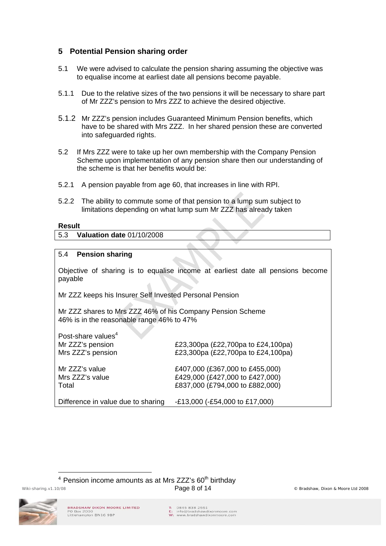# **5 Potential Pension sharing order**

- 5.1 We were advised to calculate the pension sharing assuming the objective was to equalise income at earliest date all pensions become payable.
- 5.1.1 Due to the relative sizes of the two pensions it will be necessary to share part of Mr ZZZ's pension to Mrs ZZZ to achieve the desired objective.
- 5.1.2 Mr ZZZ's pension includes Guaranteed Minimum Pension benefits, which have to be shared with Mrs ZZZ. In her shared pension these are converted into safeguarded rights.
- 5.2 If Mrs ZZZ were to take up her own membership with the Company Pension Scheme upon implementation of any pension share then our understanding of the scheme is that her benefits would be:
- 5.2.1 A pension payable from age 60, that increases in line with RPI.
- 5.2.2 The ability to commute some of that pension to a lump sum subject to limitations depending on what lump sum Mr ZZZ has already taken

#### **Result**

5.3 **Valuation date** 01/10/2008

### 5.4 **Pension sharing**

Objective of sharing is to equalise income at earliest date all pensions become payable

Mr ZZZ keeps his Insurer Self Invested Personal Pension

Mr ZZZ shares to Mrs ZZZ 46% of his Company Pension Scheme 46% is in the reasonable range 46% to 47%

| Post-share values <sup>4</sup><br>Mr ZZZ's pension<br>Mrs ZZZ's pension | £23,300pa (£22,700pa to £24,100pa)<br>£23,300pa (£22,700pa to £24,100pa)                              |
|-------------------------------------------------------------------------|-------------------------------------------------------------------------------------------------------|
| Mr ZZZ's value<br>Mrs ZZZ's value<br>Total                              | £407,000 (£367,000 to £455,000)<br>£429,000 (£427,000 to £427,000)<br>£837,000 (£794,000 to £882,000) |
| Difference in value due to sharing                                      | -£13,000 (-£54,000 to £17,000)                                                                        |

Wiki-sharing.v1.10/08 **Page 8 of 14** Contact the Bradshaw, Dixon & Moore Ltd 2008  $4$  Pension income amounts as at Mrs ZZZ's  $60<sup>th</sup>$  birthday



 $\overline{a}$ 

T: 0845 838 2551 E: 0645 636 2551<br>E: info@bradshawdixonmoore.com<br>W: www.bradshawdixonmoore.com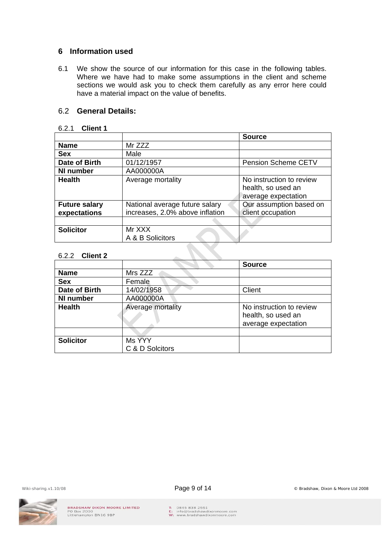## **6 Information used**

6.1 We show the source of our information for this case in the following tables. Where we have had to make some assumptions in the client and scheme sections we would ask you to check them carefully as any error here could have a material impact on the value of benefits.

# 6.2 **General Details:**

### 6.2.1 **Client 1**

|                      |                                 | <b>Source</b>                                                         |
|----------------------|---------------------------------|-----------------------------------------------------------------------|
| <b>Name</b>          | Mr ZZZ                          |                                                                       |
| <b>Sex</b>           | Male                            |                                                                       |
| Date of Birth        | 01/12/1957                      | Pension Scheme CETV                                                   |
| NI number            | AA000000A                       |                                                                       |
| <b>Health</b>        | Average mortality               | No instruction to review<br>health, so used an<br>average expectation |
| <b>Future salary</b> | National average future salary  | Our assumption based on                                               |
| expectations         | increases, 2.0% above inflation | client occupation                                                     |
|                      |                                 |                                                                       |
| <b>Solicitor</b>     | Mr XXX<br>A & B Solicitors      |                                                                       |

### 6.2.2 **Client 2**

|                  |                           | <b>Source</b>                                                         |
|------------------|---------------------------|-----------------------------------------------------------------------|
| <b>Name</b>      | Mrs ZZZ                   |                                                                       |
| <b>Sex</b>       | Female                    |                                                                       |
| Date of Birth    | 14/02/1958                | Client                                                                |
| NI number        | AA000000A                 |                                                                       |
| <b>Health</b>    | Average mortality         | No instruction to review<br>health, so used an<br>average expectation |
|                  |                           |                                                                       |
| <b>Solicitor</b> | Ms YYY<br>C & D Solcitors |                                                                       |

BRADSHAW DIXON MOORE LIMITED<br>PO Box 2000<br>Littlehampton BN16 9BP



T: 0845 838 2551<br>E: info@bradshawdixonmoore.com<br>W: www.bradshawdixonmoore.com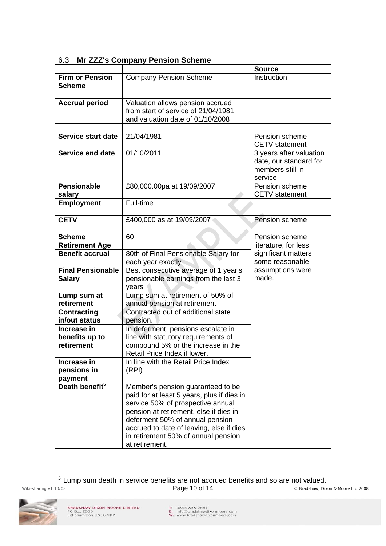|                                         |                                                                                                                                                                                                                                                                                                        | <b>Source</b>                                                                    |
|-----------------------------------------|--------------------------------------------------------------------------------------------------------------------------------------------------------------------------------------------------------------------------------------------------------------------------------------------------------|----------------------------------------------------------------------------------|
| <b>Firm or Pension</b><br><b>Scheme</b> | <b>Company Pension Scheme</b>                                                                                                                                                                                                                                                                          | Instruction                                                                      |
|                                         |                                                                                                                                                                                                                                                                                                        |                                                                                  |
| <b>Accrual period</b>                   | Valuation allows pension accrued<br>from start of service of 21/04/1981<br>and valuation date of 01/10/2008                                                                                                                                                                                            |                                                                                  |
| Service start date                      | 21/04/1981                                                                                                                                                                                                                                                                                             | Pension scheme<br><b>CETV</b> statement                                          |
| Service end date                        | 01/10/2011                                                                                                                                                                                                                                                                                             | 3 years after valuation<br>date, our standard for<br>members still in<br>service |
| <b>Pensionable</b><br>salary            | £80,000.00pa at 19/09/2007                                                                                                                                                                                                                                                                             | Pension scheme<br><b>CETV</b> statement                                          |
| <b>Employment</b>                       | Full-time                                                                                                                                                                                                                                                                                              |                                                                                  |
|                                         |                                                                                                                                                                                                                                                                                                        |                                                                                  |
| <b>CETV</b>                             | £400,000 as at 19/09/2007                                                                                                                                                                                                                                                                              | Pension scheme                                                                   |
|                                         |                                                                                                                                                                                                                                                                                                        |                                                                                  |
| <b>Scheme</b>                           | 60                                                                                                                                                                                                                                                                                                     | Pension scheme                                                                   |
| <b>Retirement Age</b>                   |                                                                                                                                                                                                                                                                                                        | literature, for less                                                             |
| <b>Benefit accrual</b>                  | 80th of Final Pensionable Salary for                                                                                                                                                                                                                                                                   | significant matters                                                              |
| <b>Final Pensionable</b>                | each year exactly                                                                                                                                                                                                                                                                                      | some reasonable                                                                  |
| <b>Salary</b>                           | Best consecutive average of 1 year's<br>pensionable earnings from the last 3                                                                                                                                                                                                                           | assumptions were<br>made.                                                        |
|                                         | years                                                                                                                                                                                                                                                                                                  |                                                                                  |
| Lump sum at                             | Lump sum at retirement of 50% of                                                                                                                                                                                                                                                                       |                                                                                  |
| retirement                              | annual pension at retirement                                                                                                                                                                                                                                                                           |                                                                                  |
| <b>Contracting</b>                      | Contracted out of additional state                                                                                                                                                                                                                                                                     |                                                                                  |
| in/out status                           | pension.                                                                                                                                                                                                                                                                                               |                                                                                  |
| Increase in                             | In deferment, pensions escalate in                                                                                                                                                                                                                                                                     |                                                                                  |
| benefits up to                          | line with statutory requirements of                                                                                                                                                                                                                                                                    |                                                                                  |
| retirement                              | compound 5% or the increase in the<br>Retail Price Index if lower.                                                                                                                                                                                                                                     |                                                                                  |
| Increase in                             | In line with the Retail Price Index                                                                                                                                                                                                                                                                    |                                                                                  |
| pensions in                             | (RPI)                                                                                                                                                                                                                                                                                                  |                                                                                  |
| payment                                 |                                                                                                                                                                                                                                                                                                        |                                                                                  |
| Death benefit <sup>5</sup>              | Member's pension guaranteed to be<br>paid for at least 5 years, plus if dies in<br>service 50% of prospective annual<br>pension at retirement, else if dies in<br>deferment 50% of annual pension<br>accrued to date of leaving, else if dies<br>in retirement 50% of annual pension<br>at retirement. |                                                                                  |

## 6.3 **Mr ZZZ's Company Pension Scheme**

Wiki-sharing.v1.10/08 **Page 10 of 14** Constants Constants Constants Constants Constants Constants Constants Constants Constants Open and the District of the District Page 10 of 14 Constants Constants Constants Constants Co <sup>5</sup> Lump sum death in service benefits are not accrued benefits and so are not valued.



 $\overline{a}$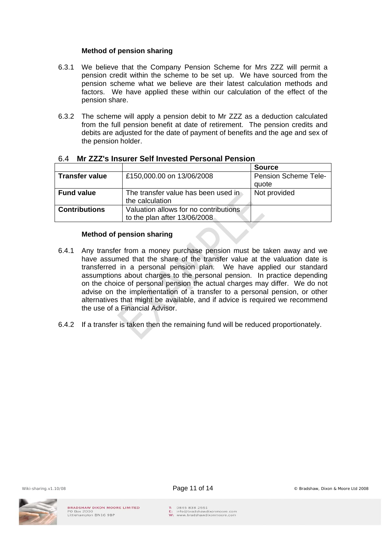### **Method of pension sharing**

- 6.3.1 We believe that the Company Pension Scheme for Mrs ZZZ will permit a pension credit within the scheme to be set up. We have sourced from the pension scheme what we believe are their latest calculation methods and factors. We have applied these within our calculation of the effect of the pension share.
- 6.3.2 The scheme will apply a pension debit to Mr ZZZ as a deduction calculated from the full pension benefit at date of retirement. The pension credits and debits are adjusted for the date of payment of benefits and the age and sex of the pension holder.

|                                                          |                                       | <b>Source</b>               |
|----------------------------------------------------------|---------------------------------------|-----------------------------|
| £150,000.00 on 13/06/2008<br><b>Transfer value</b>       |                                       | <b>Pension Scheme Tele-</b> |
|                                                          |                                       | quote                       |
| <b>Fund value</b><br>The transfer value has been used in |                                       | Not provided                |
|                                                          | the calculation                       |                             |
| <b>Contributions</b>                                     | Valuation allows for no contributions |                             |
|                                                          | to the plan after 13/06/2008          |                             |

## 6.4 **Mr ZZZ's Insurer Self Invested Personal Pension**

#### **Method of pension sharing**

- 6.4.1 Any transfer from a money purchase pension must be taken away and we have assumed that the share of the transfer value at the valuation date is transferred in a personal pension plan. We have applied our standard assumptions about charges to the personal pension. In practice depending on the choice of personal pension the actual charges may differ. We do not advise on the implementation of a transfer to a personal pension, or other alternatives that might be available, and if advice is required we recommend the use of a Financial Advisor.
- 6.4.2 If a transfer is taken then the remaining fund will be reduced proportionately.





T: 0845 838 2551 E: 0645 636 2551<br>E: info@bradshawdixonmoore.com<br>W: www.bradshawdixonmoore.com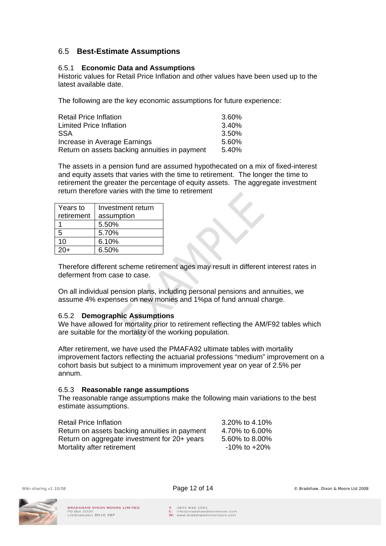# 6.5 **Best-Estimate Assumptions**

### 6.5.1 **Economic Data and Assumptions**

Historic values for Retail Price Inflation and other values have been used up to the latest available date.

The following are the key economic assumptions for future experience:

| <b>Retail Price Inflation</b>                 | 3.60% |
|-----------------------------------------------|-------|
| <b>Limited Price Inflation</b>                | 3.40% |
| <b>SSA</b>                                    | 3.50% |
| Increase in Average Earnings                  | 5.60% |
| Return on assets backing annuities in payment | 5.40% |

The assets in a pension fund are assumed hypothecated on a mix of fixed-interest and equity assets that varies with the time to retirement. The longer the time to retirement the greater the percentage of equity assets. The aggregate investment return therefore varies with the time to retirement

| Years to<br>retirement | Investment return<br>assumption |
|------------------------|---------------------------------|
|                        | 5.50%                           |
| 5                      | 5.70%                           |
| 10                     | 6.10%                           |
|                        | 6.50%                           |

Therefore different scheme retirement ages may result in different interest rates in deferment from case to case.

On all individual pension plans, including personal pensions and annuities, we assume 4% expenses on new monies and 1%pa of fund annual charge.

### 6.5.2 **Demographic Assumptions**

We have allowed for mortality prior to retirement reflecting the AM/F92 tables which are suitable for the mortality of the working population.

After retirement, we have used the PMAFA92 ultimate tables with mortality improvement factors reflecting the actuarial professions "medium" improvement on a cohort basis but subject to a minimum improvement year on year of 2.5% per annum.

#### 6.5.3 **Reasonable range assumptions**

The reasonable range assumptions make the following main variations to the best estimate assumptions.

| <b>Retail Price Inflation</b>                 | 3.20% to 4.10%     |
|-----------------------------------------------|--------------------|
| Return on assets backing annuities in payment | 4.70% to 6.00%     |
| Return on aggregate investment for 20+ years  | 5.60% to 8.00%     |
| Mortality after retirement                    | $-10\%$ to $+20\%$ |

Wiki-sharing.v1.10/08 **Page 12 of 14 Page 12 of 14** © Bradshaw, Dixon & Moore Ltd 2008

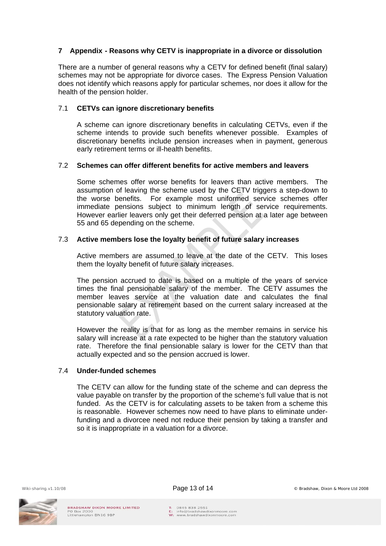## **7 Appendix - Reasons why CETV is inappropriate in a divorce or dissolution**

There are a number of general reasons why a CETV for defined benefit (final salary) schemes may not be appropriate for divorce cases. The Express Pension Valuation does not identify which reasons apply for particular schemes, nor does it allow for the health of the pension holder.

### 7.1 **CETVs can ignore discretionary benefits**

A scheme can ignore discretionary benefits in calculating CETVs, even if the scheme intends to provide such benefits whenever possible. Examples of discretionary benefits include pension increases when in payment, generous early retirement terms or ill-health benefits.

### 7.2 **Schemes can offer different benefits for active members and leavers**

Some schemes offer worse benefits for leavers than active members. The assumption of leaving the scheme used by the CETV triggers a step-down to the worse benefits. For example most uniformed service schemes offer immediate pensions subject to minimum length of service requirements. However earlier leavers only get their deferred pension at a later age between 55 and 65 depending on the scheme.

### 7.3 **Active members lose the loyalty benefit of future salary increases**

Active members are assumed to leave at the date of the CETV. This loses them the loyalty benefit of future salary increases.

The pension accrued to date is based on a multiple of the years of service times the final pensionable salary of the member. The CETV assumes the member leaves service at the valuation date and calculates the final pensionable salary at retirement based on the current salary increased at the statutory valuation rate.

However the reality is that for as long as the member remains in service his salary will increase at a rate expected to be higher than the statutory valuation rate. Therefore the final pensionable salary is lower for the CETV than that actually expected and so the pension accrued is lower.

#### 7.4 **Under-funded schemes**

The CETV can allow for the funding state of the scheme and can depress the value payable on transfer by the proportion of the scheme's full value that is not funded. As the CETV is for calculating assets to be taken from a scheme this is reasonable. However schemes now need to have plans to eliminate underfunding and a divorcee need not reduce their pension by taking a transfer and so it is inappropriate in a valuation for a divorce.

T: 0845 838 2551 E: 0645 636 2551<br>E: info@bradshawdixonmoore.co<br>W: www.bradshawdixonmoore.com